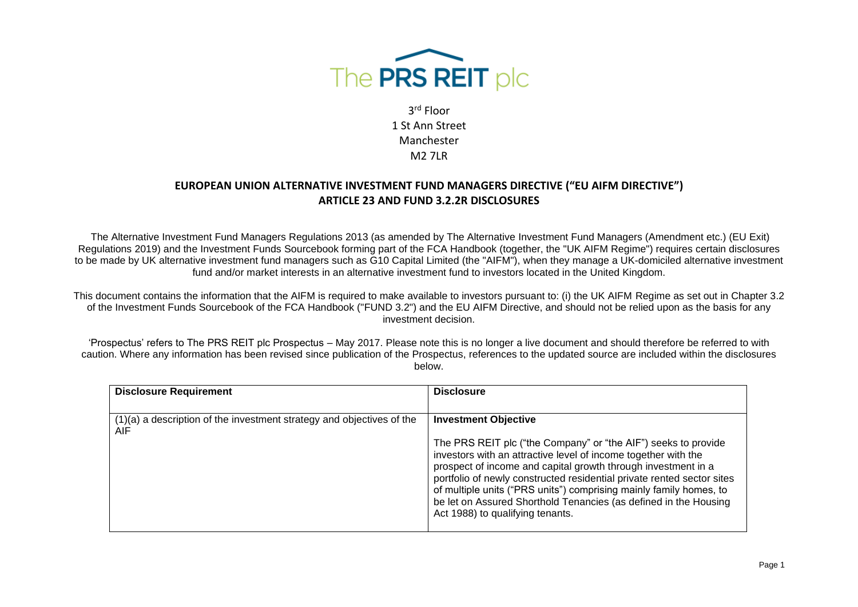

#### **EUROPEAN UNION ALTERNATIVE INVESTMENT FUND MANAGERS DIRECTIVE ("EU AIFM DIRECTIVE") ARTICLE 23 AND FUND 3.2.2R DISCLOSURES**

The Alternative Investment Fund Managers Regulations 2013 (as amended by The Alternative Investment Fund Managers (Amendment etc.) (EU Exit) Regulations 2019) and the Investment Funds Sourcebook forming part of the FCA Handbook (together, the "UK AIFM Regime") requires certain disclosures to be made by UK alternative investment fund managers such as G10 Capital Limited (the "AIFM"), when they manage a UK-domiciled alternative investment fund and/or market interests in an alternative investment fund to investors located in the United Kingdom.

This document contains the information that the AIFM is required to make available to investors pursuant to: (i) the UK AIFM Regime as set out in Chapter 3.2 of the Investment Funds Sourcebook of the FCA Handbook ("FUND 3.2") and the EU AIFM Directive, and should not be relied upon as the basis for any investment decision.

'Prospectus' refers to The PRS REIT plc Prospectus – May 2017. Please note this is no longer a live document and should therefore be referred to with caution. Where any information has been revised since publication of the Prospectus, references to the updated source are included within the disclosures below.

| <b>Disclosure Requirement</b>                                                  | <b>Disclosure</b>                                                                                                                                                                                                                                                                                                                                                                                                                                                                        |
|--------------------------------------------------------------------------------|------------------------------------------------------------------------------------------------------------------------------------------------------------------------------------------------------------------------------------------------------------------------------------------------------------------------------------------------------------------------------------------------------------------------------------------------------------------------------------------|
| $(1)(a)$ a description of the investment strategy and objectives of the<br>AIF | <b>Investment Objective</b><br>The PRS REIT plc ("the Company" or "the AIF") seeks to provide<br>investors with an attractive level of income together with the<br>prospect of income and capital growth through investment in a<br>portfolio of newly constructed residential private rented sector sites<br>of multiple units ("PRS units") comprising mainly family homes, to<br>be let on Assured Shorthold Tenancies (as defined in the Housing<br>Act 1988) to qualifying tenants. |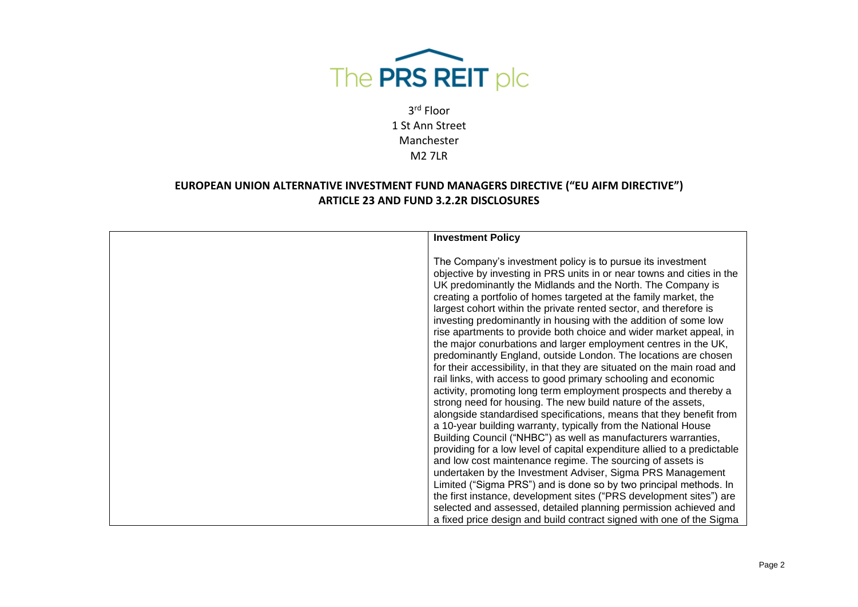

| <b>Investment Policy</b>                                                                                                                                                                                                                                                                                                                                                                                                                                                                                                                                                                                                                                                                                                                                                                                                                                                                                                                                                              |
|---------------------------------------------------------------------------------------------------------------------------------------------------------------------------------------------------------------------------------------------------------------------------------------------------------------------------------------------------------------------------------------------------------------------------------------------------------------------------------------------------------------------------------------------------------------------------------------------------------------------------------------------------------------------------------------------------------------------------------------------------------------------------------------------------------------------------------------------------------------------------------------------------------------------------------------------------------------------------------------|
| The Company's investment policy is to pursue its investment<br>objective by investing in PRS units in or near towns and cities in the<br>UK predominantly the Midlands and the North. The Company is<br>creating a portfolio of homes targeted at the family market, the<br>largest cohort within the private rented sector, and therefore is<br>investing predominantly in housing with the addition of some low<br>rise apartments to provide both choice and wider market appeal, in<br>the major conurbations and larger employment centres in the UK,<br>predominantly England, outside London. The locations are chosen<br>for their accessibility, in that they are situated on the main road and<br>rail links, with access to good primary schooling and economic<br>activity, promoting long term employment prospects and thereby a<br>strong need for housing. The new build nature of the assets,<br>alongside standardised specifications, means that they benefit from |
| a 10-year building warranty, typically from the National House<br>Building Council ("NHBC") as well as manufacturers warranties,                                                                                                                                                                                                                                                                                                                                                                                                                                                                                                                                                                                                                                                                                                                                                                                                                                                      |
| providing for a low level of capital expenditure allied to a predictable<br>and low cost maintenance regime. The sourcing of assets is<br>undertaken by the Investment Adviser, Sigma PRS Management                                                                                                                                                                                                                                                                                                                                                                                                                                                                                                                                                                                                                                                                                                                                                                                  |
| Limited ("Sigma PRS") and is done so by two principal methods. In<br>the first instance, development sites ("PRS development sites") are                                                                                                                                                                                                                                                                                                                                                                                                                                                                                                                                                                                                                                                                                                                                                                                                                                              |
| selected and assessed, detailed planning permission achieved and<br>a fixed price design and build contract signed with one of the Sigma                                                                                                                                                                                                                                                                                                                                                                                                                                                                                                                                                                                                                                                                                                                                                                                                                                              |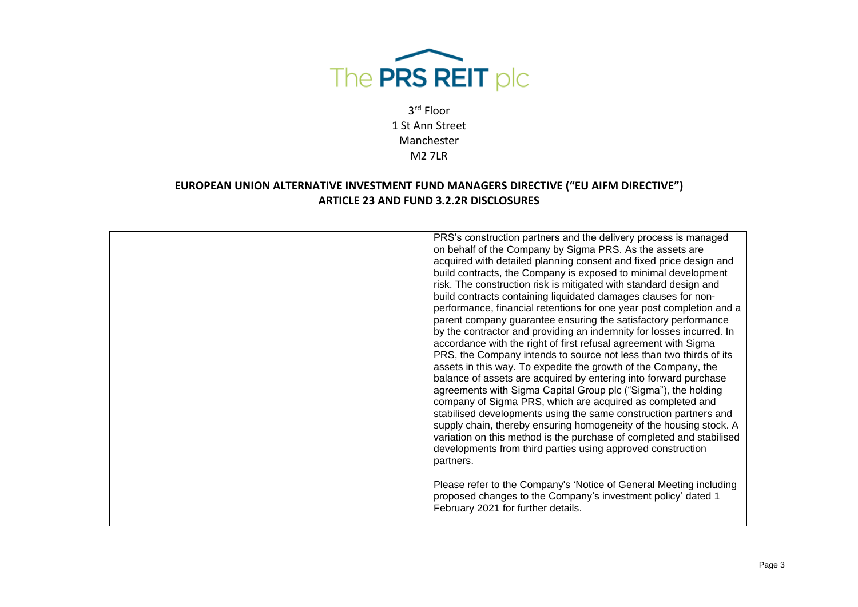

| performance, financial retentions for one year post completion and a<br>parent company guarantee ensuring the satisfactory performance<br>by the contractor and providing an indemnity for losses incurred. In<br>accordance with the right of first refusal agreement with Sigma<br>PRS, the Company intends to source not less than two thirds of its<br>assets in this way. To expedite the growth of the Company, the<br>balance of assets are acquired by entering into forward purchase<br>agreements with Sigma Capital Group plc ("Sigma"), the holding<br>company of Sigma PRS, which are acquired as completed and<br>stabilised developments using the same construction partners and<br>supply chain, thereby ensuring homogeneity of the housing stock. A<br>variation on this method is the purchase of completed and stabilised<br>developments from third parties using approved construction<br>partners. |
|----------------------------------------------------------------------------------------------------------------------------------------------------------------------------------------------------------------------------------------------------------------------------------------------------------------------------------------------------------------------------------------------------------------------------------------------------------------------------------------------------------------------------------------------------------------------------------------------------------------------------------------------------------------------------------------------------------------------------------------------------------------------------------------------------------------------------------------------------------------------------------------------------------------------------|
| Please refer to the Company's 'Notice of General Meeting including<br>proposed changes to the Company's investment policy' dated 1<br>February 2021 for further details.                                                                                                                                                                                                                                                                                                                                                                                                                                                                                                                                                                                                                                                                                                                                                   |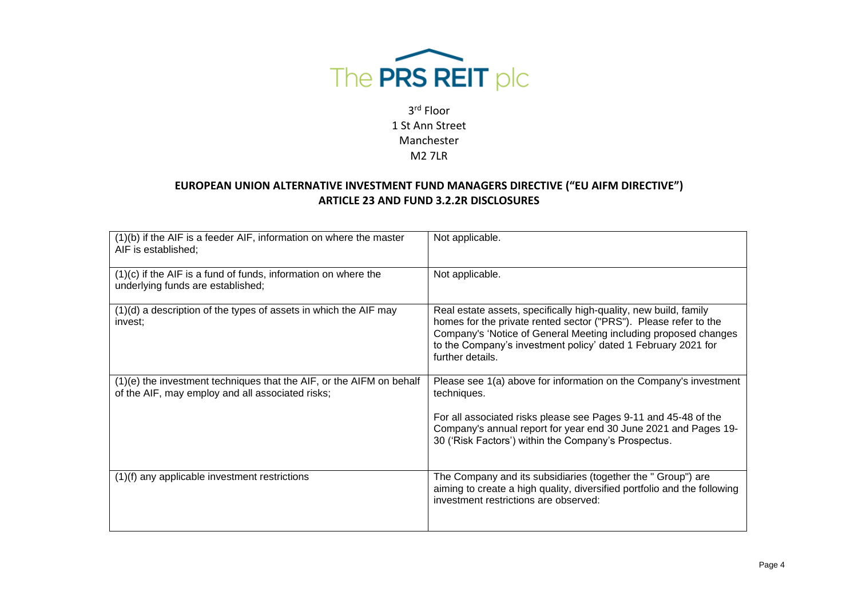

| (1)(b) if the AIF is a feeder AIF, information on where the master<br>AIF is established;                                | Not applicable.                                                                                                                                                                                                                                                                              |
|--------------------------------------------------------------------------------------------------------------------------|----------------------------------------------------------------------------------------------------------------------------------------------------------------------------------------------------------------------------------------------------------------------------------------------|
| $(1)(c)$ if the AIF is a fund of funds, information on where the<br>underlying funds are established;                    | Not applicable.                                                                                                                                                                                                                                                                              |
| $(1)(d)$ a description of the types of assets in which the AIF may<br>invest;                                            | Real estate assets, specifically high-quality, new build, family<br>homes for the private rented sector ("PRS"). Please refer to the<br>Company's 'Notice of General Meeting including proposed changes<br>to the Company's investment policy' dated 1 February 2021 for<br>further details. |
| (1)(e) the investment techniques that the AIF, or the AIFM on behalf<br>of the AIF, may employ and all associated risks; | Please see 1(a) above for information on the Company's investment<br>techniques.<br>For all associated risks please see Pages 9-11 and 45-48 of the<br>Company's annual report for year end 30 June 2021 and Pages 19-<br>30 ('Risk Factors') within the Company's Prospectus.               |
| (1)(f) any applicable investment restrictions                                                                            | The Company and its subsidiaries (together the " Group") are<br>aiming to create a high quality, diversified portfolio and the following<br>investment restrictions are observed:                                                                                                            |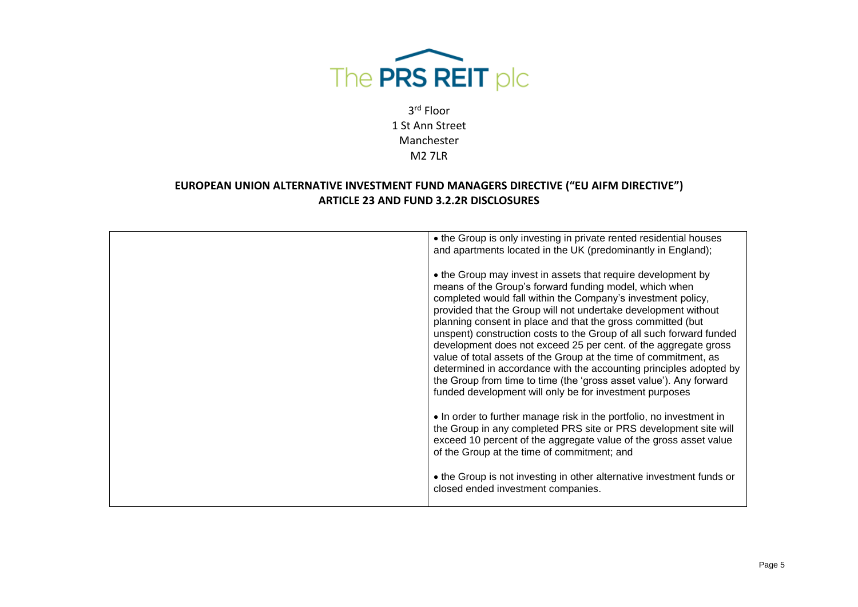

| • the Group is only investing in private rented residential houses<br>and apartments located in the UK (predominantly in England);                                                                                                                                                                                                                                                                                                                                                                                                                                                                                                                                                                                                           |
|----------------------------------------------------------------------------------------------------------------------------------------------------------------------------------------------------------------------------------------------------------------------------------------------------------------------------------------------------------------------------------------------------------------------------------------------------------------------------------------------------------------------------------------------------------------------------------------------------------------------------------------------------------------------------------------------------------------------------------------------|
| • the Group may invest in assets that require development by<br>means of the Group's forward funding model, which when<br>completed would fall within the Company's investment policy,<br>provided that the Group will not undertake development without<br>planning consent in place and that the gross committed (but<br>unspent) construction costs to the Group of all such forward funded<br>development does not exceed 25 per cent. of the aggregate gross<br>value of total assets of the Group at the time of commitment, as<br>determined in accordance with the accounting principles adopted by<br>the Group from time to time (the 'gross asset value'). Any forward<br>funded development will only be for investment purposes |
| • In order to further manage risk in the portfolio, no investment in<br>the Group in any completed PRS site or PRS development site will<br>exceed 10 percent of the aggregate value of the gross asset value<br>of the Group at the time of commitment; and                                                                                                                                                                                                                                                                                                                                                                                                                                                                                 |
| • the Group is not investing in other alternative investment funds or<br>closed ended investment companies.                                                                                                                                                                                                                                                                                                                                                                                                                                                                                                                                                                                                                                  |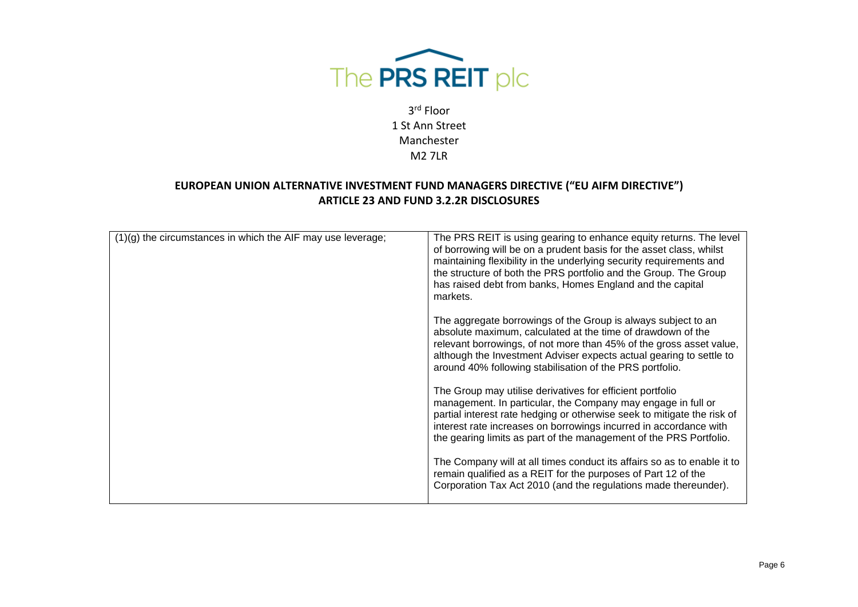

| $(1)(g)$ the circumstances in which the AIF may use leverage; | The PRS REIT is using gearing to enhance equity returns. The level<br>of borrowing will be on a prudent basis for the asset class, whilst<br>maintaining flexibility in the underlying security requirements and<br>the structure of both the PRS portfolio and the Group. The Group<br>has raised debt from banks, Homes England and the capital<br>markets. |
|---------------------------------------------------------------|---------------------------------------------------------------------------------------------------------------------------------------------------------------------------------------------------------------------------------------------------------------------------------------------------------------------------------------------------------------|
|                                                               | The aggregate borrowings of the Group is always subject to an<br>absolute maximum, calculated at the time of drawdown of the<br>relevant borrowings, of not more than 45% of the gross asset value,<br>although the Investment Adviser expects actual gearing to settle to<br>around 40% following stabilisation of the PRS portfolio.                        |
|                                                               | The Group may utilise derivatives for efficient portfolio<br>management. In particular, the Company may engage in full or<br>partial interest rate hedging or otherwise seek to mitigate the risk of<br>interest rate increases on borrowings incurred in accordance with<br>the gearing limits as part of the management of the PRS Portfolio.               |
|                                                               | The Company will at all times conduct its affairs so as to enable it to<br>remain qualified as a REIT for the purposes of Part 12 of the<br>Corporation Tax Act 2010 (and the regulations made thereunder).                                                                                                                                                   |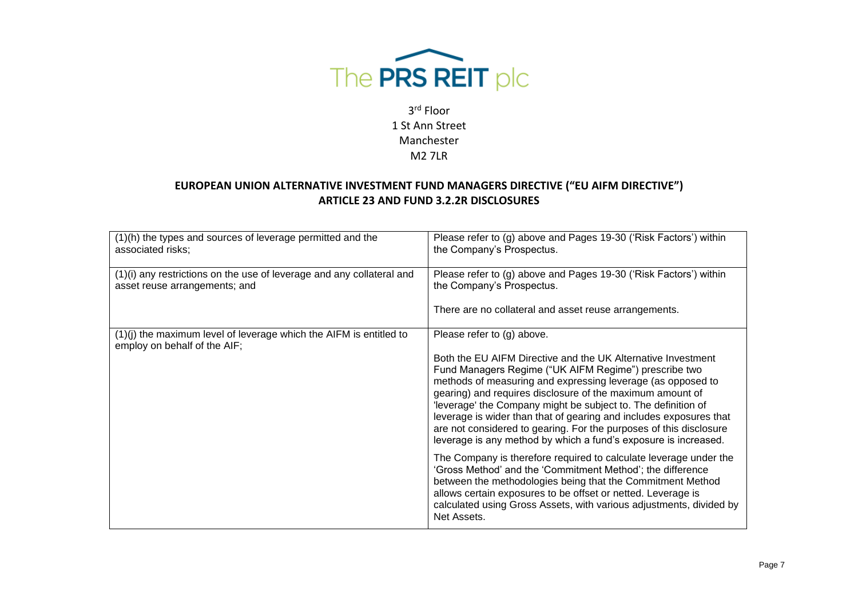

| (1)(h) the types and sources of leverage permitted and the<br>associated risks;                        | Please refer to (g) above and Pages 19-30 ('Risk Factors') within<br>the Company's Prospectus.                                                                                                                                                                                                                                                                                                                                                                                                                                   |
|--------------------------------------------------------------------------------------------------------|----------------------------------------------------------------------------------------------------------------------------------------------------------------------------------------------------------------------------------------------------------------------------------------------------------------------------------------------------------------------------------------------------------------------------------------------------------------------------------------------------------------------------------|
| (1)(i) any restrictions on the use of leverage and any collateral and<br>asset reuse arrangements; and | Please refer to (g) above and Pages 19-30 ('Risk Factors') within<br>the Company's Prospectus.                                                                                                                                                                                                                                                                                                                                                                                                                                   |
|                                                                                                        | There are no collateral and asset reuse arrangements.                                                                                                                                                                                                                                                                                                                                                                                                                                                                            |
| $(1)(j)$ the maximum level of leverage which the AIFM is entitled to<br>employ on behalf of the AIF;   | Please refer to (g) above.                                                                                                                                                                                                                                                                                                                                                                                                                                                                                                       |
|                                                                                                        | Both the EU AIFM Directive and the UK Alternative Investment<br>Fund Managers Regime ("UK AIFM Regime") prescribe two<br>methods of measuring and expressing leverage (as opposed to<br>gearing) and requires disclosure of the maximum amount of<br>leverage' the Company might be subject to. The definition of<br>leverage is wider than that of gearing and includes exposures that<br>are not considered to gearing. For the purposes of this disclosure<br>leverage is any method by which a fund's exposure is increased. |
|                                                                                                        | The Company is therefore required to calculate leverage under the<br>'Gross Method' and the 'Commitment Method'; the difference<br>between the methodologies being that the Commitment Method<br>allows certain exposures to be offset or netted. Leverage is<br>calculated using Gross Assets, with various adjustments, divided by<br>Net Assets.                                                                                                                                                                              |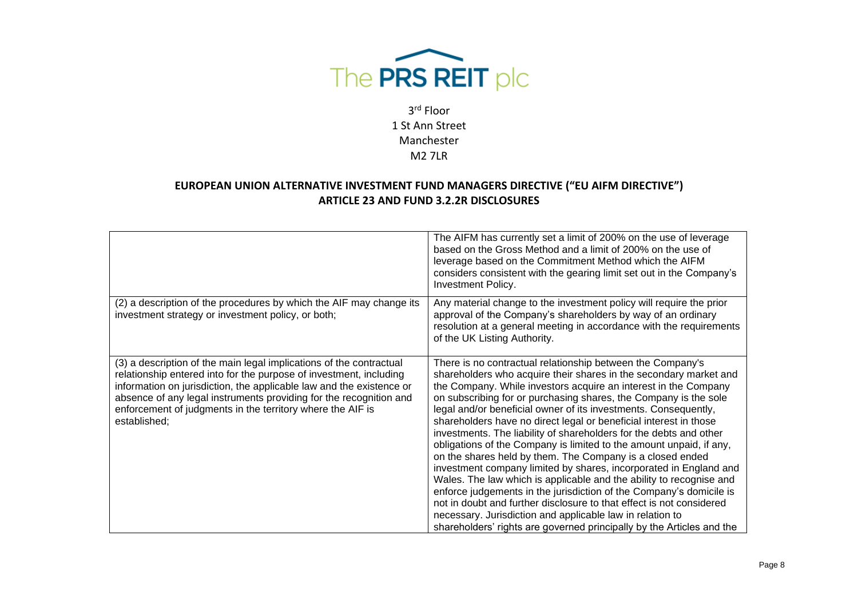

|                                                                                                                                                                                                                                                                                                                                                                       | The AIFM has currently set a limit of 200% on the use of leverage<br>based on the Gross Method and a limit of 200% on the use of<br>leverage based on the Commitment Method which the AIFM<br>considers consistent with the gearing limit set out in the Company's<br><b>Investment Policy.</b>                                                                                                                                                                                                                                                                                                                                                                                                                                                                                                                                                                                                                                                                                                                                                           |
|-----------------------------------------------------------------------------------------------------------------------------------------------------------------------------------------------------------------------------------------------------------------------------------------------------------------------------------------------------------------------|-----------------------------------------------------------------------------------------------------------------------------------------------------------------------------------------------------------------------------------------------------------------------------------------------------------------------------------------------------------------------------------------------------------------------------------------------------------------------------------------------------------------------------------------------------------------------------------------------------------------------------------------------------------------------------------------------------------------------------------------------------------------------------------------------------------------------------------------------------------------------------------------------------------------------------------------------------------------------------------------------------------------------------------------------------------|
| (2) a description of the procedures by which the AIF may change its<br>investment strategy or investment policy, or both;                                                                                                                                                                                                                                             | Any material change to the investment policy will require the prior<br>approval of the Company's shareholders by way of an ordinary<br>resolution at a general meeting in accordance with the requirements<br>of the UK Listing Authority.                                                                                                                                                                                                                                                                                                                                                                                                                                                                                                                                                                                                                                                                                                                                                                                                                |
| (3) a description of the main legal implications of the contractual<br>relationship entered into for the purpose of investment, including<br>information on jurisdiction, the applicable law and the existence or<br>absence of any legal instruments providing for the recognition and<br>enforcement of judgments in the territory where the AIF is<br>established; | There is no contractual relationship between the Company's<br>shareholders who acquire their shares in the secondary market and<br>the Company. While investors acquire an interest in the Company<br>on subscribing for or purchasing shares, the Company is the sole<br>legal and/or beneficial owner of its investments. Consequently,<br>shareholders have no direct legal or beneficial interest in those<br>investments. The liability of shareholders for the debts and other<br>obligations of the Company is limited to the amount unpaid, if any,<br>on the shares held by them. The Company is a closed ended<br>investment company limited by shares, incorporated in England and<br>Wales. The law which is applicable and the ability to recognise and<br>enforce judgements in the jurisdiction of the Company's domicile is<br>not in doubt and further disclosure to that effect is not considered<br>necessary. Jurisdiction and applicable law in relation to<br>shareholders' rights are governed principally by the Articles and the |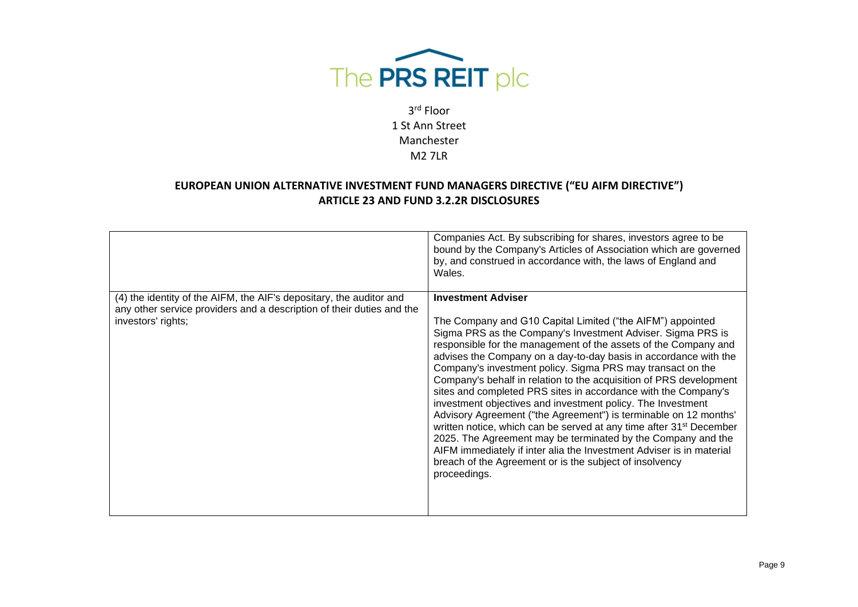

|                                                                                                                                                                    | Companies Act. By subscribing for shares, investors agree to be<br>bound by the Company's Articles of Association which are governed<br>by, and construed in accordance with, the laws of England and<br>Wales.                                                                                                                                                                                                                                                                                                                                                                                                                                                                                                                                                                                                                                                                                                                              |
|--------------------------------------------------------------------------------------------------------------------------------------------------------------------|----------------------------------------------------------------------------------------------------------------------------------------------------------------------------------------------------------------------------------------------------------------------------------------------------------------------------------------------------------------------------------------------------------------------------------------------------------------------------------------------------------------------------------------------------------------------------------------------------------------------------------------------------------------------------------------------------------------------------------------------------------------------------------------------------------------------------------------------------------------------------------------------------------------------------------------------|
| (4) the identity of the AIFM, the AIF's depositary, the auditor and<br>any other service providers and a description of their duties and the<br>investors' rights; | <b>Investment Adviser</b><br>The Company and G10 Capital Limited ("the AIFM") appointed<br>Sigma PRS as the Company's Investment Adviser. Sigma PRS is<br>responsible for the management of the assets of the Company and<br>advises the Company on a day-to-day basis in accordance with the<br>Company's investment policy. Sigma PRS may transact on the<br>Company's behalf in relation to the acquisition of PRS development<br>sites and completed PRS sites in accordance with the Company's<br>investment objectives and investment policy. The Investment<br>Advisory Agreement ("the Agreement") is terminable on 12 months'<br>written notice, which can be served at any time after 31 <sup>st</sup> December<br>2025. The Agreement may be terminated by the Company and the<br>AIFM immediately if inter alia the Investment Adviser is in material<br>breach of the Agreement or is the subject of insolvency<br>proceedings. |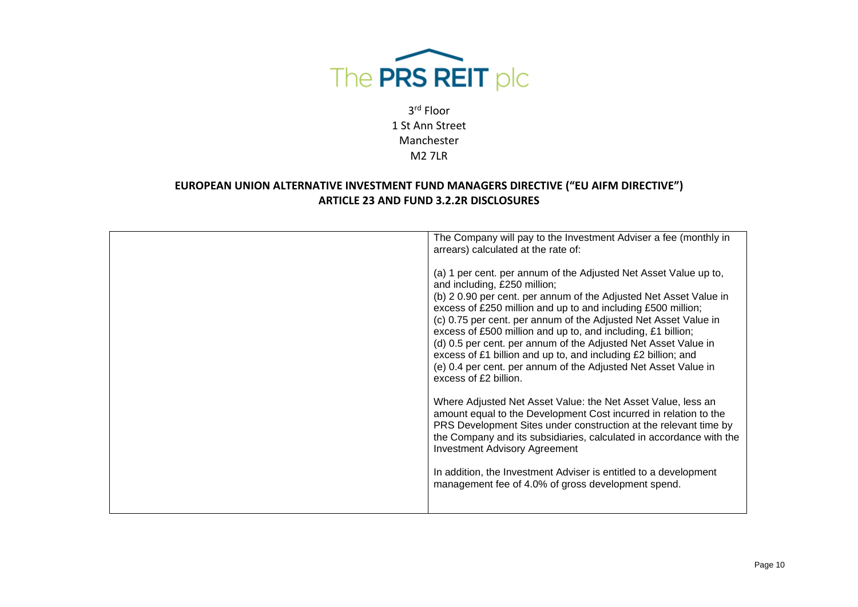

| The Company will pay to the Investment Adviser a fee (monthly in<br>arrears) calculated at the rate of:                                                                                                                                                                                                                                                                                                                                                                                                                                                                                                |
|--------------------------------------------------------------------------------------------------------------------------------------------------------------------------------------------------------------------------------------------------------------------------------------------------------------------------------------------------------------------------------------------------------------------------------------------------------------------------------------------------------------------------------------------------------------------------------------------------------|
| (a) 1 per cent. per annum of the Adjusted Net Asset Value up to,<br>and including, £250 million;<br>(b) 2 0.90 per cent. per annum of the Adjusted Net Asset Value in<br>excess of £250 million and up to and including £500 million;<br>(c) 0.75 per cent. per annum of the Adjusted Net Asset Value in<br>excess of £500 million and up to, and including, £1 billion;<br>(d) 0.5 per cent. per annum of the Adjusted Net Asset Value in<br>excess of £1 billion and up to, and including £2 billion; and<br>(e) 0.4 per cent. per annum of the Adjusted Net Asset Value in<br>excess of £2 billion. |
| Where Adjusted Net Asset Value: the Net Asset Value, less an<br>amount equal to the Development Cost incurred in relation to the<br>PRS Development Sites under construction at the relevant time by<br>the Company and its subsidiaries, calculated in accordance with the<br><b>Investment Advisory Agreement</b>                                                                                                                                                                                                                                                                                    |
| In addition, the Investment Adviser is entitled to a development<br>management fee of 4.0% of gross development spend.                                                                                                                                                                                                                                                                                                                                                                                                                                                                                 |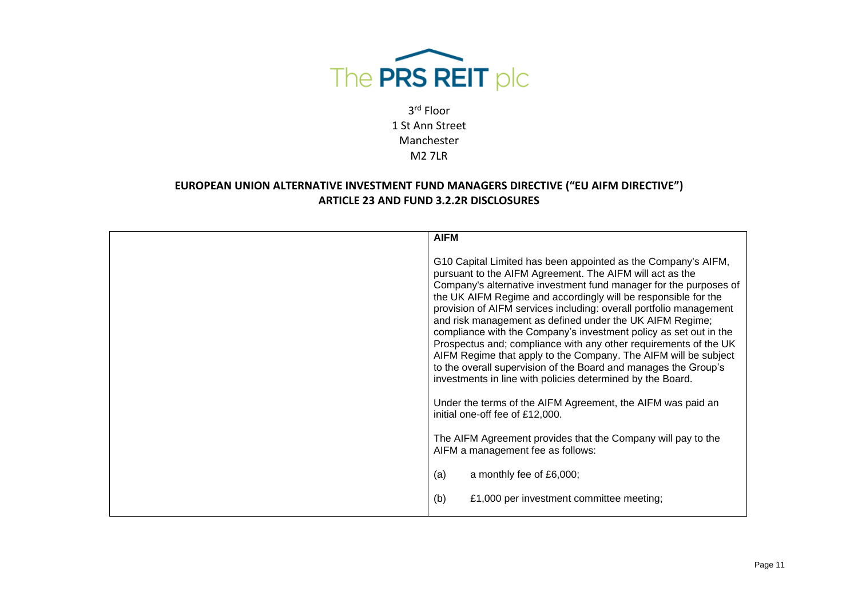

| <b>AIFM</b>                                                                                                                                                                                                                                                                                                                                                                                                                                                                                                                                                                                                                                                                                                                                                                                                                                       |
|---------------------------------------------------------------------------------------------------------------------------------------------------------------------------------------------------------------------------------------------------------------------------------------------------------------------------------------------------------------------------------------------------------------------------------------------------------------------------------------------------------------------------------------------------------------------------------------------------------------------------------------------------------------------------------------------------------------------------------------------------------------------------------------------------------------------------------------------------|
| G10 Capital Limited has been appointed as the Company's AIFM,<br>pursuant to the AIFM Agreement. The AIFM will act as the<br>Company's alternative investment fund manager for the purposes of<br>the UK AIFM Regime and accordingly will be responsible for the<br>provision of AIFM services including: overall portfolio management<br>and risk management as defined under the UK AIFM Regime;<br>compliance with the Company's investment policy as set out in the<br>Prospectus and; compliance with any other requirements of the UK<br>AIFM Regime that apply to the Company. The AIFM will be subject<br>to the overall supervision of the Board and manages the Group's<br>investments in line with policies determined by the Board.<br>Under the terms of the AIFM Agreement, the AIFM was paid an<br>initial one-off fee of £12,000. |
| The AIFM Agreement provides that the Company will pay to the<br>AIFM a management fee as follows:                                                                                                                                                                                                                                                                                                                                                                                                                                                                                                                                                                                                                                                                                                                                                 |
| (a)<br>a monthly fee of £6,000;                                                                                                                                                                                                                                                                                                                                                                                                                                                                                                                                                                                                                                                                                                                                                                                                                   |
| (b)<br>£1,000 per investment committee meeting;                                                                                                                                                                                                                                                                                                                                                                                                                                                                                                                                                                                                                                                                                                                                                                                                   |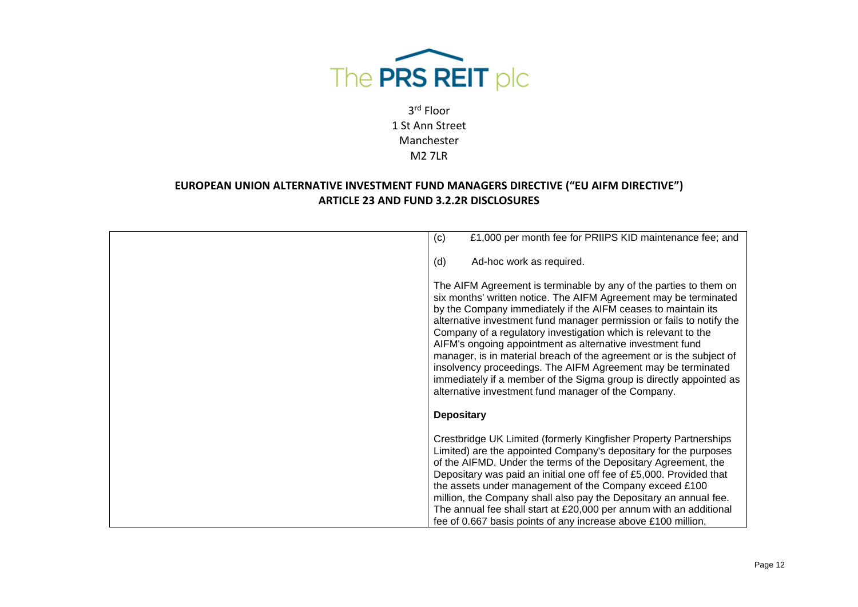

| £1,000 per month fee for PRIIPS KID maintenance fee; and<br>(c)                                                                                                                                                                                                                                                                                                                                                                                                                                                                                                                                                                                                                      |
|--------------------------------------------------------------------------------------------------------------------------------------------------------------------------------------------------------------------------------------------------------------------------------------------------------------------------------------------------------------------------------------------------------------------------------------------------------------------------------------------------------------------------------------------------------------------------------------------------------------------------------------------------------------------------------------|
| Ad-hoc work as required.<br>(d)                                                                                                                                                                                                                                                                                                                                                                                                                                                                                                                                                                                                                                                      |
| The AIFM Agreement is terminable by any of the parties to them on<br>six months' written notice. The AIFM Agreement may be terminated<br>by the Company immediately if the AIFM ceases to maintain its<br>alternative investment fund manager permission or fails to notify the<br>Company of a regulatory investigation which is relevant to the<br>AIFM's ongoing appointment as alternative investment fund<br>manager, is in material breach of the agreement or is the subject of<br>insolvency proceedings. The AIFM Agreement may be terminated<br>immediately if a member of the Sigma group is directly appointed as<br>alternative investment fund manager of the Company. |
| <b>Depositary</b>                                                                                                                                                                                                                                                                                                                                                                                                                                                                                                                                                                                                                                                                    |
| Crestbridge UK Limited (formerly Kingfisher Property Partnerships<br>Limited) are the appointed Company's depositary for the purposes<br>of the AIFMD. Under the terms of the Depositary Agreement, the<br>Depositary was paid an initial one off fee of £5,000. Provided that<br>the assets under management of the Company exceed £100<br>million, the Company shall also pay the Depositary an annual fee.<br>The annual fee shall start at £20,000 per annum with an additional<br>fee of 0.667 basis points of any increase above £100 million,                                                                                                                                 |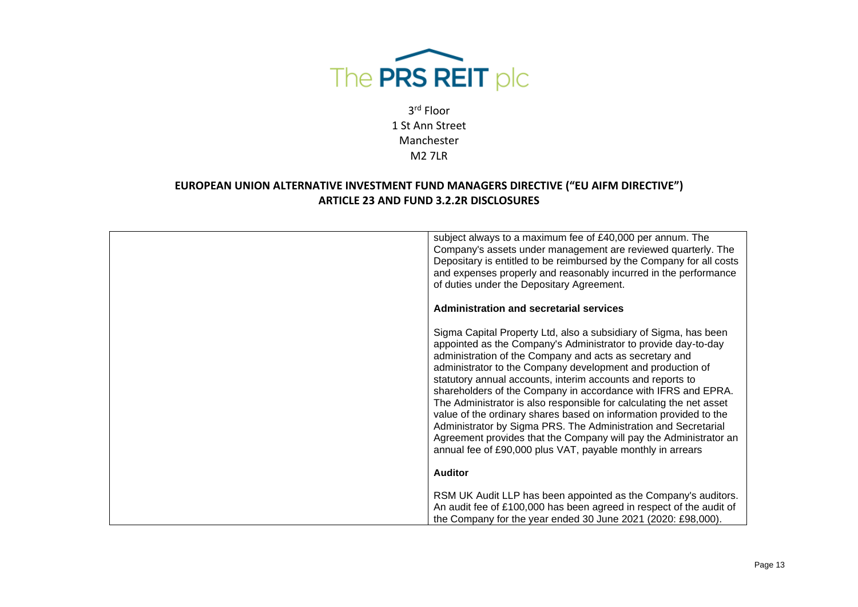

| subject always to a maximum fee of £40,000 per annum. The<br>Company's assets under management are reviewed quarterly. The<br>Depositary is entitled to be reimbursed by the Company for all costs<br>and expenses properly and reasonably incurred in the performance<br>of duties under the Depositary Agreement.                                                                                                                                                                                                                                                                                                                                                                                                                         |
|---------------------------------------------------------------------------------------------------------------------------------------------------------------------------------------------------------------------------------------------------------------------------------------------------------------------------------------------------------------------------------------------------------------------------------------------------------------------------------------------------------------------------------------------------------------------------------------------------------------------------------------------------------------------------------------------------------------------------------------------|
| <b>Administration and secretarial services</b>                                                                                                                                                                                                                                                                                                                                                                                                                                                                                                                                                                                                                                                                                              |
| Sigma Capital Property Ltd, also a subsidiary of Sigma, has been<br>appointed as the Company's Administrator to provide day-to-day<br>administration of the Company and acts as secretary and<br>administrator to the Company development and production of<br>statutory annual accounts, interim accounts and reports to<br>shareholders of the Company in accordance with IFRS and EPRA.<br>The Administrator is also responsible for calculating the net asset<br>value of the ordinary shares based on information provided to the<br>Administrator by Sigma PRS. The Administration and Secretarial<br>Agreement provides that the Company will pay the Administrator an<br>annual fee of £90,000 plus VAT, payable monthly in arrears |
| <b>Auditor</b>                                                                                                                                                                                                                                                                                                                                                                                                                                                                                                                                                                                                                                                                                                                              |
| RSM UK Audit LLP has been appointed as the Company's auditors.<br>An audit fee of £100,000 has been agreed in respect of the audit of<br>the Company for the year ended 30 June 2021 (2020: £98,000).                                                                                                                                                                                                                                                                                                                                                                                                                                                                                                                                       |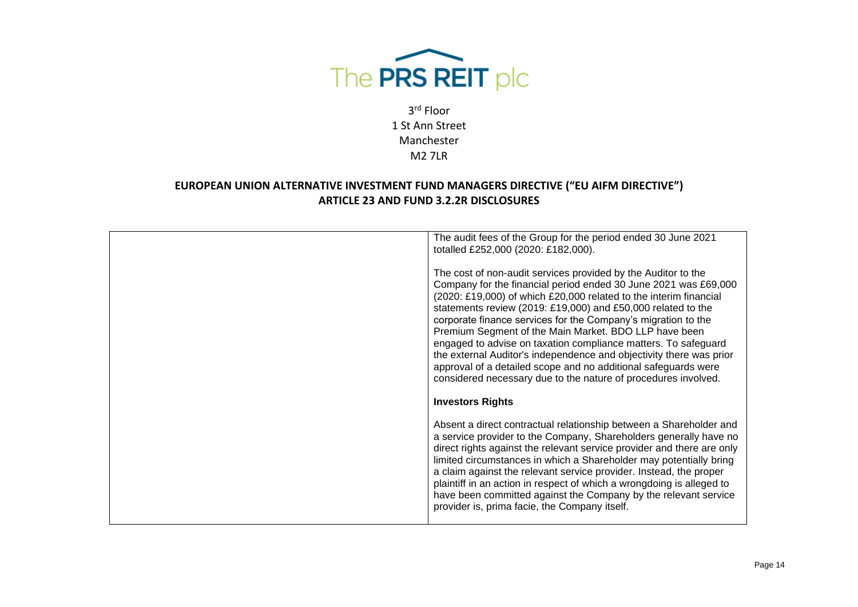

| The audit fees of the Group for the period ended 30 June 2021<br>totalled £252,000 (2020: £182,000).                                                                                                                                                                                                                                                                                                                                                                                                                                                                                                                                                                         |
|------------------------------------------------------------------------------------------------------------------------------------------------------------------------------------------------------------------------------------------------------------------------------------------------------------------------------------------------------------------------------------------------------------------------------------------------------------------------------------------------------------------------------------------------------------------------------------------------------------------------------------------------------------------------------|
| The cost of non-audit services provided by the Auditor to the<br>Company for the financial period ended 30 June 2021 was £69,000<br>(2020: £19,000) of which £20,000 related to the interim financial<br>statements review (2019: £19,000) and £50,000 related to the<br>corporate finance services for the Company's migration to the<br>Premium Segment of the Main Market. BDO LLP have been<br>engaged to advise on taxation compliance matters. To safeguard<br>the external Auditor's independence and objectivity there was prior<br>approval of a detailed scope and no additional safeguards were<br>considered necessary due to the nature of procedures involved. |
| <b>Investors Rights</b>                                                                                                                                                                                                                                                                                                                                                                                                                                                                                                                                                                                                                                                      |
| Absent a direct contractual relationship between a Shareholder and<br>a service provider to the Company, Shareholders generally have no<br>direct rights against the relevant service provider and there are only<br>limited circumstances in which a Shareholder may potentially bring<br>a claim against the relevant service provider. Instead, the proper<br>plaintiff in an action in respect of which a wrongdoing is alleged to<br>have been committed against the Company by the relevant service<br>provider is, prima facie, the Company itself.                                                                                                                   |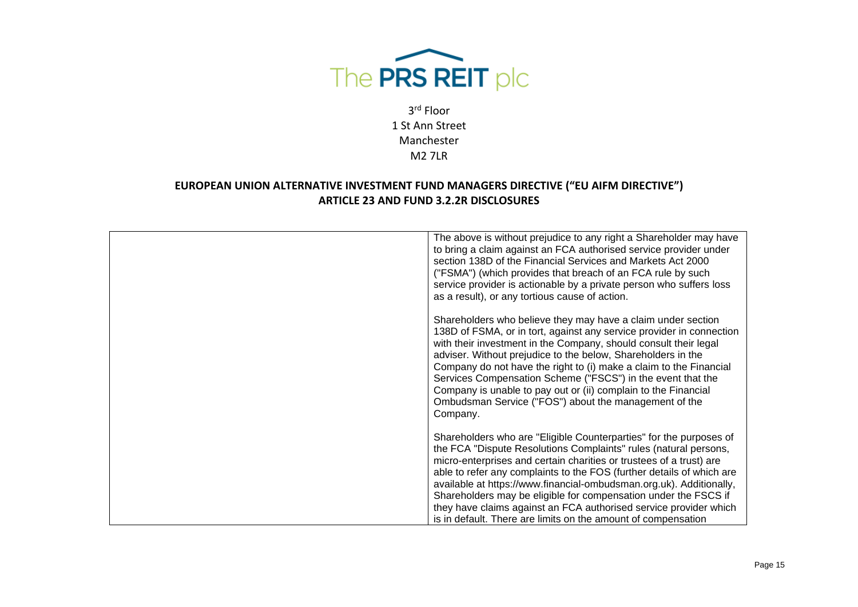

| The above is without prejudice to any right a Shareholder may have<br>to bring a claim against an FCA authorised service provider under<br>section 138D of the Financial Services and Markets Act 2000<br>("FSMA") (which provides that breach of an FCA rule by such<br>service provider is actionable by a private person who suffers loss<br>as a result), or any tortious cause of action.                                                                                                                                                                         |
|------------------------------------------------------------------------------------------------------------------------------------------------------------------------------------------------------------------------------------------------------------------------------------------------------------------------------------------------------------------------------------------------------------------------------------------------------------------------------------------------------------------------------------------------------------------------|
| Shareholders who believe they may have a claim under section<br>138D of FSMA, or in tort, against any service provider in connection<br>with their investment in the Company, should consult their legal<br>adviser. Without prejudice to the below, Shareholders in the<br>Company do not have the right to (i) make a claim to the Financial<br>Services Compensation Scheme ("FSCS") in the event that the<br>Company is unable to pay out or (ii) complain to the Financial<br>Ombudsman Service ("FOS") about the management of the<br>Company.                   |
| Shareholders who are "Eligible Counterparties" for the purposes of<br>the FCA "Dispute Resolutions Complaints" rules (natural persons,<br>micro-enterprises and certain charities or trustees of a trust) are<br>able to refer any complaints to the FOS (further details of which are<br>available at https://www.financial-ombudsman.org.uk). Additionally,<br>Shareholders may be eligible for compensation under the FSCS if<br>they have claims against an FCA authorised service provider which<br>is in default. There are limits on the amount of compensation |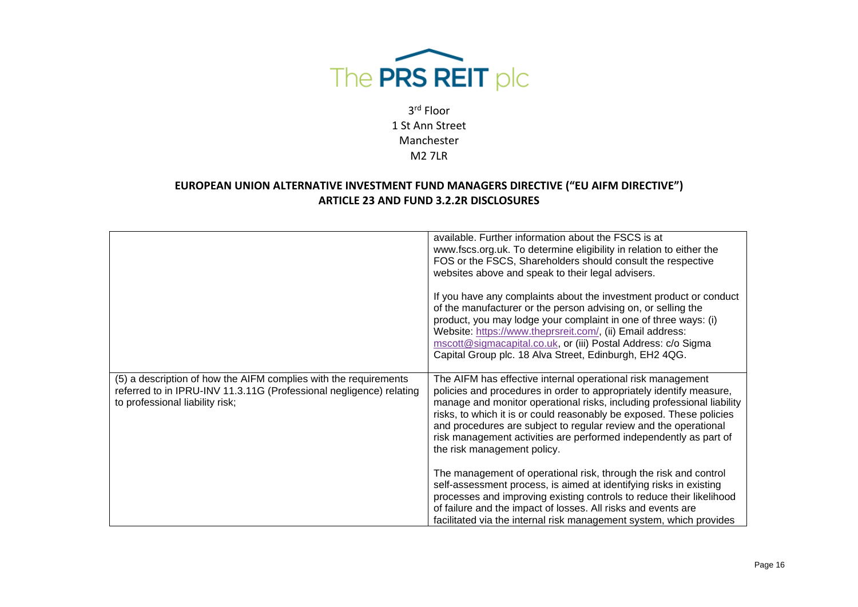

|                                                                                                                                                                            | available. Further information about the FSCS is at<br>www.fscs.org.uk. To determine eligibility in relation to either the<br>FOS or the FSCS, Shareholders should consult the respective<br>websites above and speak to their legal advisers.                                                                                                                                                                                                               |
|----------------------------------------------------------------------------------------------------------------------------------------------------------------------------|--------------------------------------------------------------------------------------------------------------------------------------------------------------------------------------------------------------------------------------------------------------------------------------------------------------------------------------------------------------------------------------------------------------------------------------------------------------|
|                                                                                                                                                                            | If you have any complaints about the investment product or conduct<br>of the manufacturer or the person advising on, or selling the<br>product, you may lodge your complaint in one of three ways: (i)<br>Website: https://www.theprsreit.com/, (ii) Email address:<br>mscott@sigmacapital.co.uk, or (iii) Postal Address: c/o Sigma<br>Capital Group plc. 18 Alva Street, Edinburgh, EH2 4QG.                                                               |
| (5) a description of how the AIFM complies with the requirements<br>referred to in IPRU-INV 11.3.11G (Professional negligence) relating<br>to professional liability risk; | The AIFM has effective internal operational risk management<br>policies and procedures in order to appropriately identify measure,<br>manage and monitor operational risks, including professional liability<br>risks, to which it is or could reasonably be exposed. These policies<br>and procedures are subject to regular review and the operational<br>risk management activities are performed independently as part of<br>the risk management policy. |
|                                                                                                                                                                            | The management of operational risk, through the risk and control<br>self-assessment process, is aimed at identifying risks in existing<br>processes and improving existing controls to reduce their likelihood<br>of failure and the impact of losses. All risks and events are<br>facilitated via the internal risk management system, which provides                                                                                                       |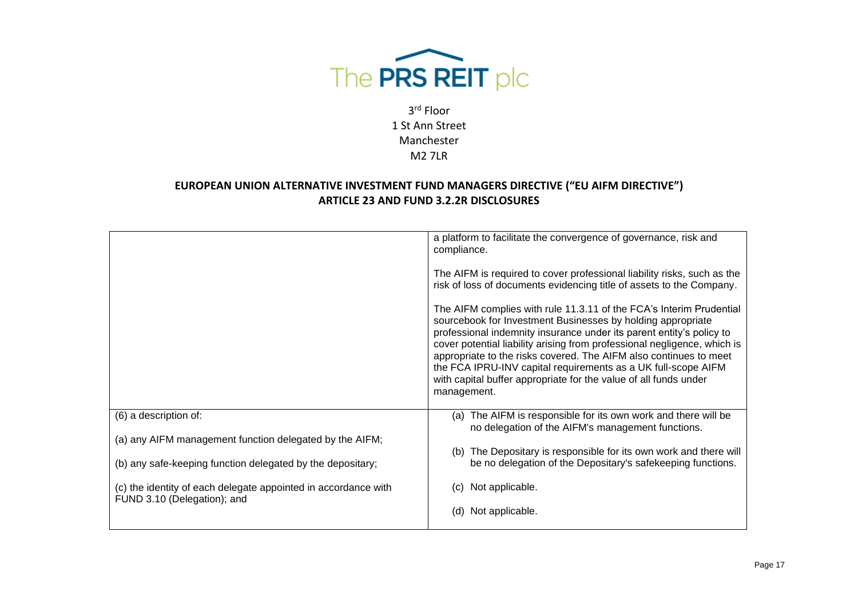

|                                                                                                                       | a platform to facilitate the convergence of governance, risk and<br>compliance.                                                                                                                                                                                                                                                                                                                                                                                                                                 |
|-----------------------------------------------------------------------------------------------------------------------|-----------------------------------------------------------------------------------------------------------------------------------------------------------------------------------------------------------------------------------------------------------------------------------------------------------------------------------------------------------------------------------------------------------------------------------------------------------------------------------------------------------------|
|                                                                                                                       | The AIFM is required to cover professional liability risks, such as the<br>risk of loss of documents evidencing title of assets to the Company.                                                                                                                                                                                                                                                                                                                                                                 |
|                                                                                                                       | The AIFM complies with rule 11.3.11 of the FCA's Interim Prudential<br>sourcebook for Investment Businesses by holding appropriate<br>professional indemnity insurance under its parent entity's policy to<br>cover potential liability arising from professional negligence, which is<br>appropriate to the risks covered. The AIFM also continues to meet<br>the FCA IPRU-INV capital requirements as a UK full-scope AIFM<br>with capital buffer appropriate for the value of all funds under<br>management. |
| (6) a description of:                                                                                                 | (a) The AIFM is responsible for its own work and there will be<br>no delegation of the AIFM's management functions.                                                                                                                                                                                                                                                                                                                                                                                             |
| (a) any AIFM management function delegated by the AIFM;<br>(b) any safe-keeping function delegated by the depositary; | (b) The Depositary is responsible for its own work and there will<br>be no delegation of the Depositary's safekeeping functions.                                                                                                                                                                                                                                                                                                                                                                                |
| (c) the identity of each delegate appointed in accordance with<br>FUND 3.10 (Delegation); and                         | Not applicable.<br>(C)<br>Not applicable.<br>(d)                                                                                                                                                                                                                                                                                                                                                                                                                                                                |
|                                                                                                                       |                                                                                                                                                                                                                                                                                                                                                                                                                                                                                                                 |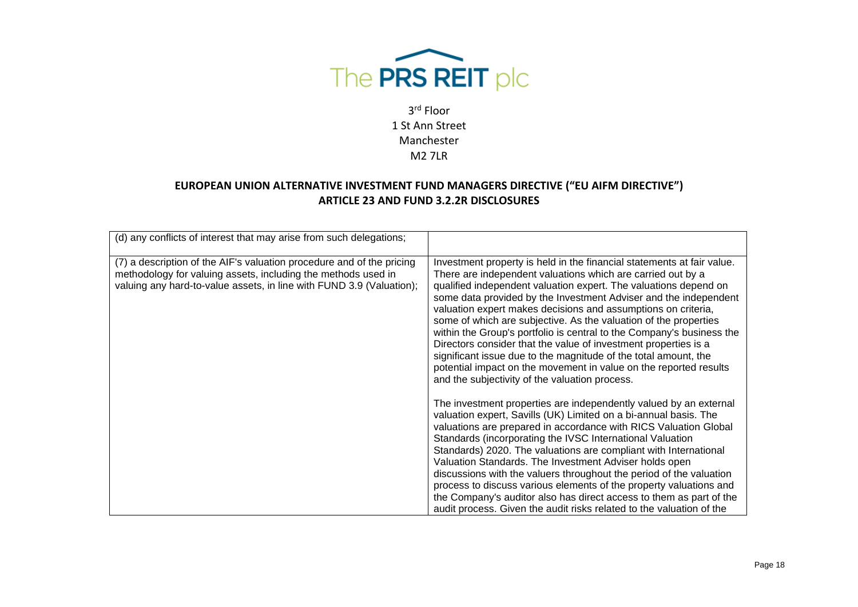

| (d) any conflicts of interest that may arise from such delegations;                                                                                                                                            |                                                                                                                                                                                                                                                                                                                                                                                                                                                                                                                                                                                                                                                                                                                                                          |
|----------------------------------------------------------------------------------------------------------------------------------------------------------------------------------------------------------------|----------------------------------------------------------------------------------------------------------------------------------------------------------------------------------------------------------------------------------------------------------------------------------------------------------------------------------------------------------------------------------------------------------------------------------------------------------------------------------------------------------------------------------------------------------------------------------------------------------------------------------------------------------------------------------------------------------------------------------------------------------|
| (7) a description of the AIF's valuation procedure and of the pricing<br>methodology for valuing assets, including the methods used in<br>valuing any hard-to-value assets, in line with FUND 3.9 (Valuation); | Investment property is held in the financial statements at fair value.<br>There are independent valuations which are carried out by a<br>qualified independent valuation expert. The valuations depend on<br>some data provided by the Investment Adviser and the independent<br>valuation expert makes decisions and assumptions on criteria,<br>some of which are subjective. As the valuation of the properties<br>within the Group's portfolio is central to the Company's business the<br>Directors consider that the value of investment properties is a<br>significant issue due to the magnitude of the total amount, the<br>potential impact on the movement in value on the reported results<br>and the subjectivity of the valuation process. |
|                                                                                                                                                                                                                | The investment properties are independently valued by an external<br>valuation expert, Savills (UK) Limited on a bi-annual basis. The<br>valuations are prepared in accordance with RICS Valuation Global<br>Standards (incorporating the IVSC International Valuation<br>Standards) 2020. The valuations are compliant with International<br>Valuation Standards. The Investment Adviser holds open<br>discussions with the valuers throughout the period of the valuation<br>process to discuss various elements of the property valuations and<br>the Company's auditor also has direct access to them as part of the<br>audit process. Given the audit risks related to the valuation of the                                                         |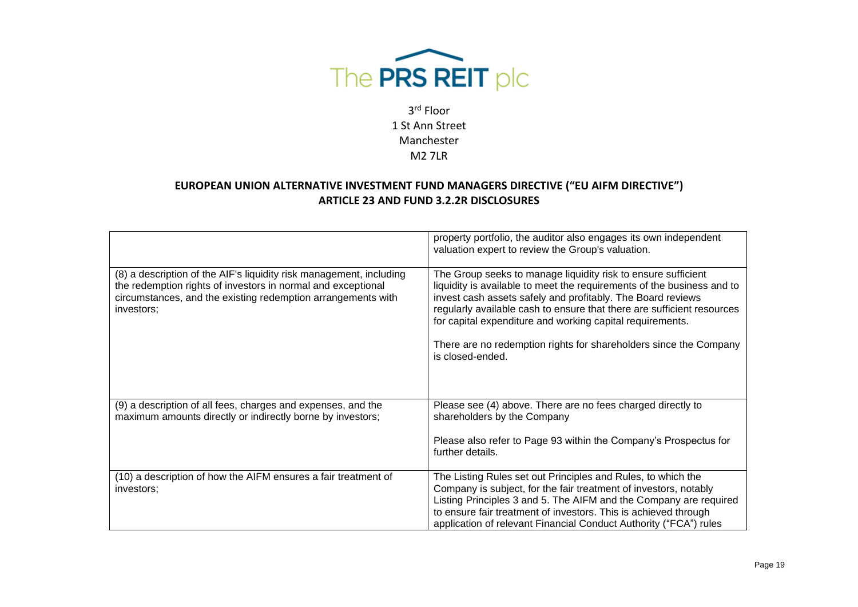

|                                                                                                                                                                                                                   | property portfolio, the auditor also engages its own independent<br>valuation expert to review the Group's valuation.                                                                                                                                                                                                                                                                                                                  |
|-------------------------------------------------------------------------------------------------------------------------------------------------------------------------------------------------------------------|----------------------------------------------------------------------------------------------------------------------------------------------------------------------------------------------------------------------------------------------------------------------------------------------------------------------------------------------------------------------------------------------------------------------------------------|
| (8) a description of the AIF's liquidity risk management, including<br>the redemption rights of investors in normal and exceptional<br>circumstances, and the existing redemption arrangements with<br>investors; | The Group seeks to manage liquidity risk to ensure sufficient<br>liquidity is available to meet the requirements of the business and to<br>invest cash assets safely and profitably. The Board reviews<br>regularly available cash to ensure that there are sufficient resources<br>for capital expenditure and working capital requirements.<br>There are no redemption rights for shareholders since the Company<br>is closed-ended. |
| (9) a description of all fees, charges and expenses, and the<br>maximum amounts directly or indirectly borne by investors;                                                                                        | Please see (4) above. There are no fees charged directly to<br>shareholders by the Company                                                                                                                                                                                                                                                                                                                                             |
|                                                                                                                                                                                                                   | Please also refer to Page 93 within the Company's Prospectus for<br>further details.                                                                                                                                                                                                                                                                                                                                                   |
| (10) a description of how the AIFM ensures a fair treatment of<br>investors;                                                                                                                                      | The Listing Rules set out Principles and Rules, to which the<br>Company is subject, for the fair treatment of investors, notably<br>Listing Principles 3 and 5. The AIFM and the Company are required<br>to ensure fair treatment of investors. This is achieved through<br>application of relevant Financial Conduct Authority ("FCA") rules                                                                                          |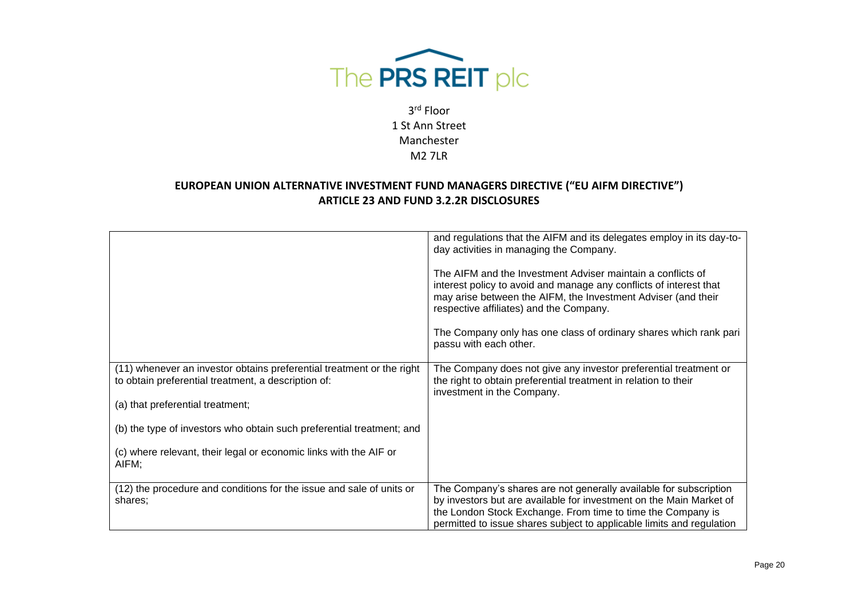

|                                                                                                                                                                  | and regulations that the AIFM and its delegates employ in its day-to-<br>day activities in managing the Company.<br>The AIFM and the Investment Adviser maintain a conflicts of<br>interest policy to avoid and manage any conflicts of interest that<br>may arise between the AIFM, the Investment Adviser (and their<br>respective affiliates) and the Company.<br>The Company only has one class of ordinary shares which rank pari<br>passu with each other. |
|------------------------------------------------------------------------------------------------------------------------------------------------------------------|------------------------------------------------------------------------------------------------------------------------------------------------------------------------------------------------------------------------------------------------------------------------------------------------------------------------------------------------------------------------------------------------------------------------------------------------------------------|
| (11) whenever an investor obtains preferential treatment or the right<br>to obtain preferential treatment, a description of:<br>(a) that preferential treatment; | The Company does not give any investor preferential treatment or<br>the right to obtain preferential treatment in relation to their<br>investment in the Company.                                                                                                                                                                                                                                                                                                |
| (b) the type of investors who obtain such preferential treatment; and                                                                                            |                                                                                                                                                                                                                                                                                                                                                                                                                                                                  |
| (c) where relevant, their legal or economic links with the AIF or<br>AIFM;                                                                                       |                                                                                                                                                                                                                                                                                                                                                                                                                                                                  |
| (12) the procedure and conditions for the issue and sale of units or<br>shares;                                                                                  | The Company's shares are not generally available for subscription<br>by investors but are available for investment on the Main Market of<br>the London Stock Exchange. From time to time the Company is<br>permitted to issue shares subject to applicable limits and regulation                                                                                                                                                                                 |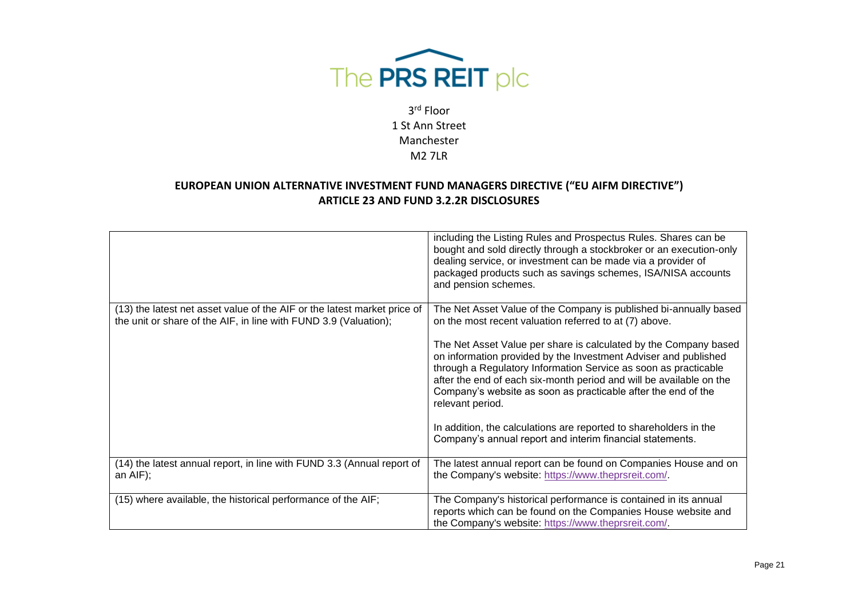

|                                                                                                                                              | including the Listing Rules and Prospectus Rules. Shares can be<br>bought and sold directly through a stockbroker or an execution-only<br>dealing service, or investment can be made via a provider of<br>packaged products such as savings schemes, ISA/NISA accounts<br>and pension schemes.                                                                     |
|----------------------------------------------------------------------------------------------------------------------------------------------|--------------------------------------------------------------------------------------------------------------------------------------------------------------------------------------------------------------------------------------------------------------------------------------------------------------------------------------------------------------------|
| (13) the latest net asset value of the AIF or the latest market price of<br>the unit or share of the AIF, in line with FUND 3.9 (Valuation); | The Net Asset Value of the Company is published bi-annually based<br>on the most recent valuation referred to at (7) above.                                                                                                                                                                                                                                        |
|                                                                                                                                              | The Net Asset Value per share is calculated by the Company based<br>on information provided by the Investment Adviser and published<br>through a Regulatory Information Service as soon as practicable<br>after the end of each six-month period and will be available on the<br>Company's website as soon as practicable after the end of the<br>relevant period. |
|                                                                                                                                              | In addition, the calculations are reported to shareholders in the<br>Company's annual report and interim financial statements.                                                                                                                                                                                                                                     |
| (14) the latest annual report, in line with FUND 3.3 (Annual report of<br>an $AIF$ ;                                                         | The latest annual report can be found on Companies House and on<br>the Company's website: https://www.theprsreit.com/.                                                                                                                                                                                                                                             |
| (15) where available, the historical performance of the AIF;                                                                                 | The Company's historical performance is contained in its annual<br>reports which can be found on the Companies House website and<br>the Company's website: https://www.theprsreit.com/.                                                                                                                                                                            |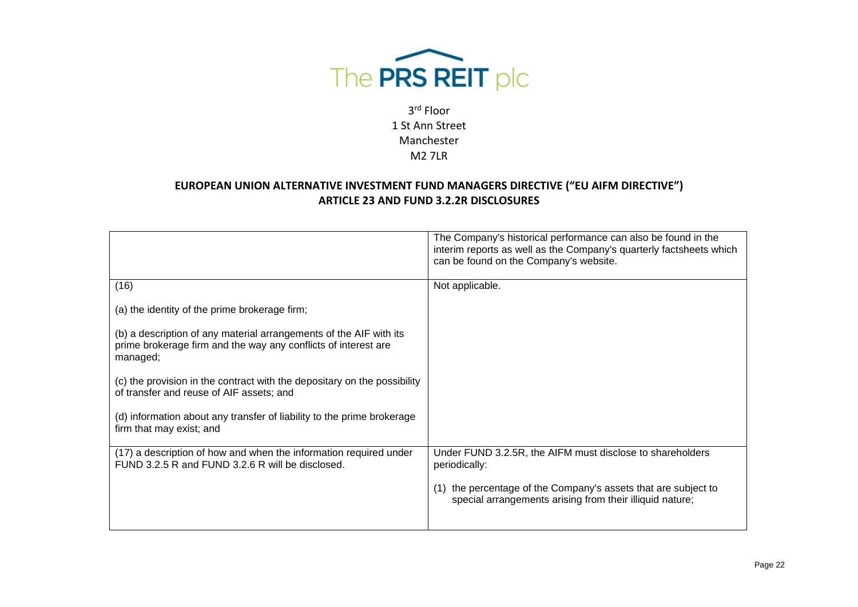

|                                                                                                                                                  | The Company's historical performance can also be found in the<br>interim reports as well as the Company's quarterly factsheets which<br>can be found on the Company's website. |
|--------------------------------------------------------------------------------------------------------------------------------------------------|--------------------------------------------------------------------------------------------------------------------------------------------------------------------------------|
| (16)                                                                                                                                             | Not applicable.                                                                                                                                                                |
| (a) the identity of the prime brokerage firm;                                                                                                    |                                                                                                                                                                                |
| (b) a description of any material arrangements of the AIF with its<br>prime brokerage firm and the way any conflicts of interest are<br>managed; |                                                                                                                                                                                |
| (c) the provision in the contract with the depositary on the possibility<br>of transfer and reuse of AIF assets; and                             |                                                                                                                                                                                |
| (d) information about any transfer of liability to the prime brokerage<br>firm that may exist; and                                               |                                                                                                                                                                                |
| (17) a description of how and when the information required under<br>FUND 3.2.5 R and FUND 3.2.6 R will be disclosed.                            | Under FUND 3.2.5R, the AIFM must disclose to shareholders<br>periodically:                                                                                                     |
|                                                                                                                                                  | the percentage of the Company's assets that are subject to<br>special arrangements arising from their illiquid nature;                                                         |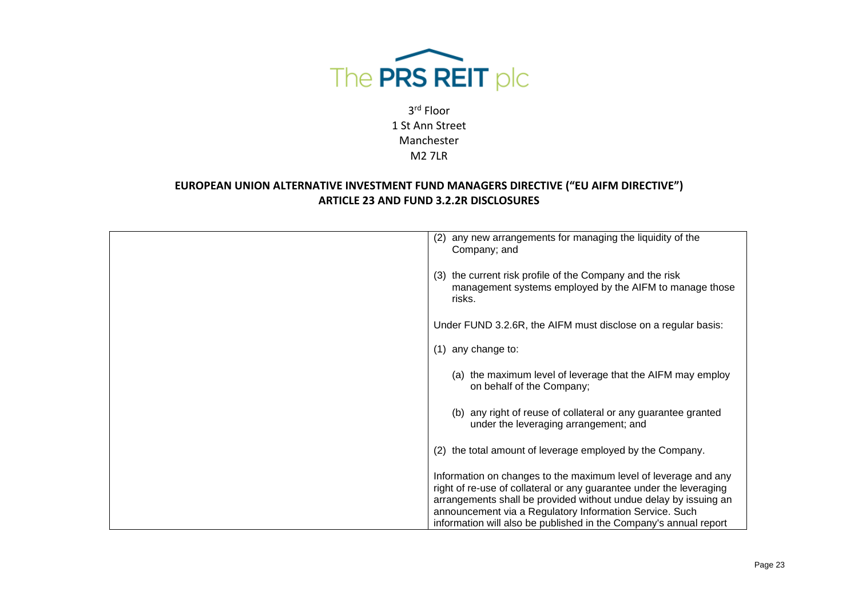

| (2) any new arrangements for managing the liquidity of the<br>Company; and                                                                                                                                                                                                                                                                 |
|--------------------------------------------------------------------------------------------------------------------------------------------------------------------------------------------------------------------------------------------------------------------------------------------------------------------------------------------|
| (3) the current risk profile of the Company and the risk<br>management systems employed by the AIFM to manage those<br>risks.                                                                                                                                                                                                              |
| Under FUND 3.2.6R, the AIFM must disclose on a regular basis:                                                                                                                                                                                                                                                                              |
| any change to:<br>(1)                                                                                                                                                                                                                                                                                                                      |
| (a) the maximum level of leverage that the AIFM may employ<br>on behalf of the Company;                                                                                                                                                                                                                                                    |
| (b) any right of reuse of collateral or any guarantee granted<br>under the leveraging arrangement; and                                                                                                                                                                                                                                     |
| the total amount of leverage employed by the Company.<br>(2)                                                                                                                                                                                                                                                                               |
| Information on changes to the maximum level of leverage and any<br>right of re-use of collateral or any guarantee under the leveraging<br>arrangements shall be provided without undue delay by issuing an<br>announcement via a Regulatory Information Service. Such<br>information will also be published in the Company's annual report |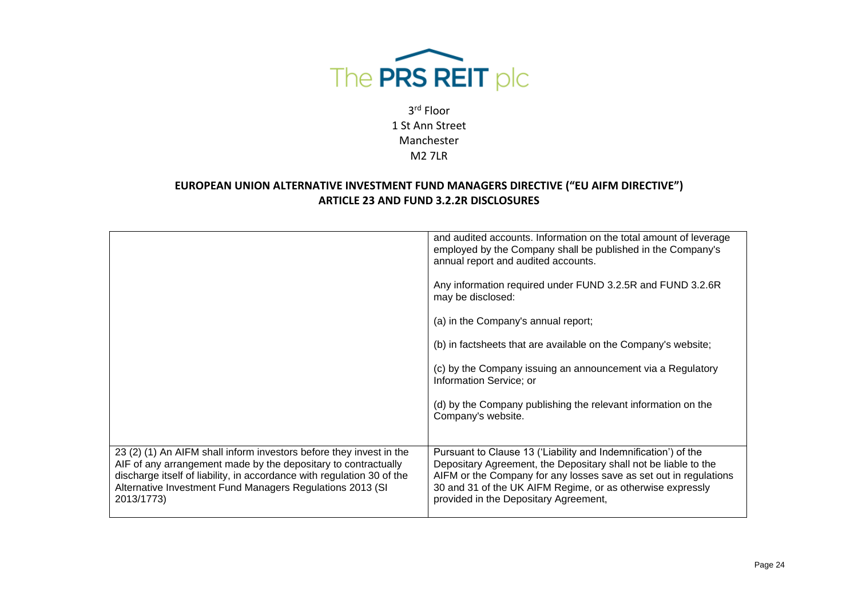

| 23 (2) (1) An AIFM shall inform investors before they invest in the<br>AIF of any arrangement made by the depositary to contractually<br>discharge itself of liability, in accordance with regulation 30 of the<br>Alternative Investment Fund Managers Regulations 2013 (SI<br>2013/1773) | Pursuant to Clause 13 ('Liability and Indemnification') of the<br>Depositary Agreement, the Depositary shall not be liable to the<br>AIFM or the Company for any losses save as set out in regulations<br>30 and 31 of the UK AIFM Regime, or as otherwise expressly<br>provided in the Depositary Agreement, |
|--------------------------------------------------------------------------------------------------------------------------------------------------------------------------------------------------------------------------------------------------------------------------------------------|---------------------------------------------------------------------------------------------------------------------------------------------------------------------------------------------------------------------------------------------------------------------------------------------------------------|
|                                                                                                                                                                                                                                                                                            | (d) by the Company publishing the relevant information on the<br>Company's website.                                                                                                                                                                                                                           |
|                                                                                                                                                                                                                                                                                            | (c) by the Company issuing an announcement via a Regulatory<br>Information Service; or                                                                                                                                                                                                                        |
|                                                                                                                                                                                                                                                                                            | (b) in factsheets that are available on the Company's website;                                                                                                                                                                                                                                                |
|                                                                                                                                                                                                                                                                                            | (a) in the Company's annual report;                                                                                                                                                                                                                                                                           |
|                                                                                                                                                                                                                                                                                            | Any information required under FUND 3.2.5R and FUND 3.2.6R<br>may be disclosed:                                                                                                                                                                                                                               |
|                                                                                                                                                                                                                                                                                            | and audited accounts. Information on the total amount of leverage<br>employed by the Company shall be published in the Company's<br>annual report and audited accounts.                                                                                                                                       |